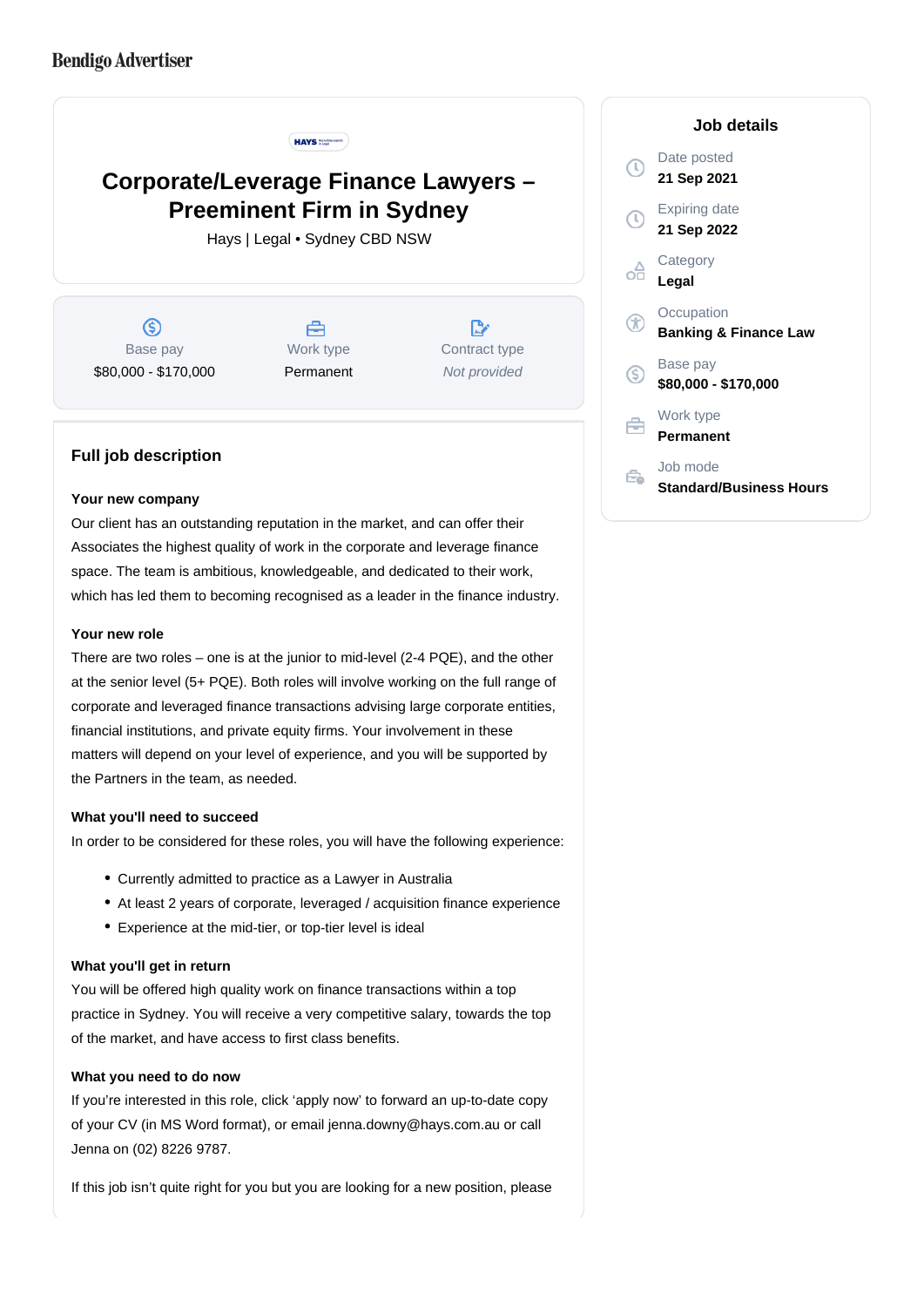

# **Corporate/Leverage Finance Lawyers – Preeminent Firm in Sydney**

Hays | Legal • Sydney CBD NSW

 $\circledS$ Base pay \$80,000 - \$170,000

户 Work type Permanent

 $\mathbb{R}^n$ Contract type Not provided

## **Full job description**

#### **Your new company**

Our client has an outstanding reputation in the market, and can offer their Associates the highest quality of work in the corporate and leverage finance space. The team is ambitious, knowledgeable, and dedicated to their work, which has led them to becoming recognised as a leader in the finance industry.

### **Your new role**

There are two roles – one is at the junior to mid-level (2-4 PQE), and the other at the senior level (5+ PQE). Both roles will involve working on the full range of corporate and leveraged finance transactions advising large corporate entities, financial institutions, and private equity firms. Your involvement in these matters will depend on your level of experience, and you will be supported by the Partners in the team, as needed.

#### **What you'll need to succeed**

In order to be considered for these roles, you will have the following experience:

- Currently admitted to practice as a Lawyer in Australia
- At least 2 years of corporate, leveraged / acquisition finance experience
- Experience at the mid-tier, or top-tier level is ideal

## **What you'll get in return**

You will be offered high quality work on finance transactions within a top practice in Sydney. You will receive a very competitive salary, towards the top of the market, and have access to first class benefits.

#### **What you need to do now**

If you're interested in this role, click 'apply now' to forward an up-to-date copy of your CV (in MS Word format), or email jenna.downy@hays.com.au or call Jenna on (02) 8226 9787.

If this job isn't quite right for you but you are looking for a new position, please

#### **Job details**